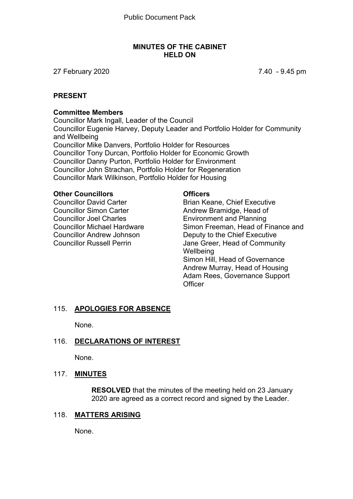#### **MINUTES OF THE CABINET HELD ON**

27 February 2020 7.40 - 9.45 pm

#### **PRESENT**

#### **Committee Members**

Councillor Mark Ingall, Leader of the Council Councillor Eugenie Harvey, Deputy Leader and Portfolio Holder for Community and Wellbeing Councillor Mike Danvers, Portfolio Holder for Resources Councillor Tony Durcan, Portfolio Holder for Economic Growth Councillor Danny Purton, Portfolio Holder for Environment Councillor John Strachan, Portfolio Holder for Regeneration Councillor Mark Wilkinson, Portfolio Holder for Housing

#### **Other Councillors**

Councillor David Carter Councillor Simon Carter Councillor Joel Charles Councillor Michael Hardware Councillor Andrew Johnson Councillor Russell Perrin

#### **Officers**

Brian Keane, Chief Executive Andrew Bramidge, Head of Environment and Planning Simon Freeman, Head of Finance and Deputy to the Chief Executive Jane Greer, Head of Community **Wellbeing** Simon Hill, Head of Governance Andrew Murray, Head of Housing Adam Rees, Governance Support **Officer** 

#### 115. **APOLOGIES FOR ABSENCE**

None.

#### 116. **DECLARATIONS OF INTEREST**

None.

#### 117. **MINUTES**

**RESOLVED** that the minutes of the meeting held on 23 January 2020 are agreed as a correct record and signed by the Leader.

#### 118. **MATTERS ARISING**

None.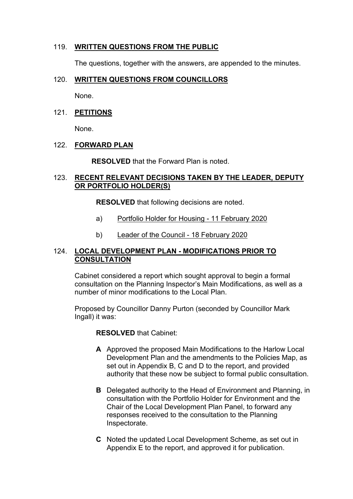#### 119. **WRITTEN QUESTIONS FROM THE PUBLIC**

The questions, together with the answers, are appended to the minutes.

#### 120. **WRITTEN QUESTIONS FROM COUNCILLORS**

None.

#### 121. **PETITIONS**

None.

#### 122. **FORWARD PLAN**

**RESOLVED** that the Forward Plan is noted.

#### 123. **RECENT RELEVANT DECISIONS TAKEN BY THE LEADER, DEPUTY OR PORTFOLIO HOLDER(S)**

**RESOLVED** that following decisions are noted.

- a) Portfolio Holder for Housing 11 February 2020
- b) Leader of the Council 18 February 2020

#### 124. **LOCAL DEVELOPMENT PLAN - MODIFICATIONS PRIOR TO CONSULTATION**

Cabinet considered a report which sought approval to begin a formal consultation on the Planning Inspector's Main Modifications, as well as a number of minor modifications to the Local Plan.

Proposed by Councillor Danny Purton (seconded by Councillor Mark Ingall) it was:

**RESOLVED** that Cabinet:

- **A** Approved the proposed Main Modifications to the Harlow Local Development Plan and the amendments to the Policies Map, as set out in Appendix B, C and D to the report, and provided authority that these now be subject to formal public consultation.
- **B** Delegated authority to the Head of Environment and Planning, in consultation with the Portfolio Holder for Environment and the Chair of the Local Development Plan Panel, to forward any responses received to the consultation to the Planning Inspectorate.
- **C** Noted the updated Local Development Scheme, as set out in Appendix E to the report, and approved it for publication.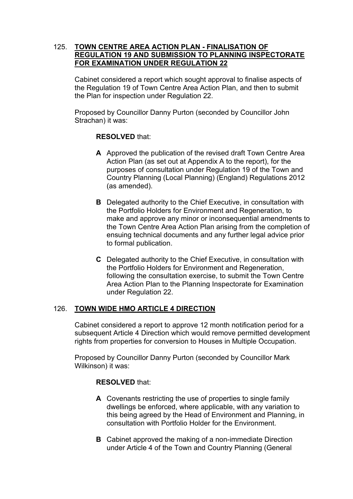#### 125. **TOWN CENTRE AREA ACTION PLAN - FINALISATION OF REGULATION 19 AND SUBMISSION TO PLANNING INSPECTORATE FOR EXAMINATION UNDER REGULATION 22**

Cabinet considered a report which sought approval to finalise aspects of the Regulation 19 of Town Centre Area Action Plan, and then to submit the Plan for inspection under Regulation 22.

Proposed by Councillor Danny Purton (seconded by Councillor John Strachan) it was:

#### **RESOLVED** that:

- **A** Approved the publication of the revised draft Town Centre Area Action Plan (as set out at Appendix A to the report), for the purposes of consultation under Regulation 19 of the Town and Country Planning (Local Planning) (England) Regulations 2012 (as amended).
- **B** Delegated authority to the Chief Executive, in consultation with the Portfolio Holders for Environment and Regeneration, to make and approve any minor or inconsequential amendments to the Town Centre Area Action Plan arising from the completion of ensuing technical documents and any further legal advice prior to formal publication.
- **C** Delegated authority to the Chief Executive, in consultation with the Portfolio Holders for Environment and Regeneration, following the consultation exercise, to submit the Town Centre Area Action Plan to the Planning Inspectorate for Examination under Regulation 22.

#### 126. **TOWN WIDE HMO ARTICLE 4 DIRECTION**

Cabinet considered a report to approve 12 month notification period for a subsequent Article 4 Direction which would remove permitted development rights from properties for conversion to Houses in Multiple Occupation.

Proposed by Councillor Danny Purton (seconded by Councillor Mark Wilkinson) it was:

#### **RESOLVED** that:

- **A** Covenants restricting the use of properties to single family dwellings be enforced, where applicable, with any variation to this being agreed by the Head of Environment and Planning, in consultation with Portfolio Holder for the Environment.
- **B** Cabinet approved the making of a non-immediate Direction under Article 4 of the Town and Country Planning (General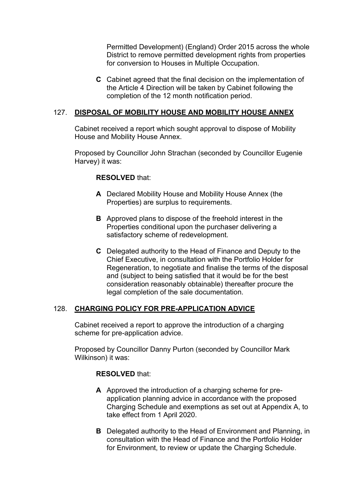Permitted Development) (England) Order 2015 across the whole District to remove permitted development rights from properties for conversion to Houses in Multiple Occupation.

**C** Cabinet agreed that the final decision on the implementation of the Article 4 Direction will be taken by Cabinet following the completion of the 12 month notification period.

## 127. **DISPOSAL OF MOBILITY HOUSE AND MOBILITY HOUSE ANNEX**

Cabinet received a report which sought approval to dispose of Mobility House and Mobility House Annex.

Proposed by Councillor John Strachan (seconded by Councillor Eugenie Harvey) it was:

#### **RESOLVED** that:

- **A** Declared Mobility House and Mobility House Annex (the Properties) are surplus to requirements.
- **B** Approved plans to dispose of the freehold interest in the Properties conditional upon the purchaser delivering a satisfactory scheme of redevelopment.
- **C** Delegated authority to the Head of Finance and Deputy to the Chief Executive, in consultation with the Portfolio Holder for Regeneration, to negotiate and finalise the terms of the disposal and (subject to being satisfied that it would be for the best consideration reasonably obtainable) thereafter procure the legal completion of the sale documentation.

#### 128. **CHARGING POLICY FOR PRE-APPLICATION ADVICE**

Cabinet received a report to approve the introduction of a charging scheme for pre-application advice.

Proposed by Councillor Danny Purton (seconded by Councillor Mark Wilkinson) it was:

#### **RESOLVED** that:

- **A** Approved the introduction of a charging scheme for preapplication planning advice in accordance with the proposed Charging Schedule and exemptions as set out at Appendix A, to take effect from 1 April 2020.
- **B** Delegated authority to the Head of Environment and Planning, in consultation with the Head of Finance and the Portfolio Holder for Environment, to review or update the Charging Schedule.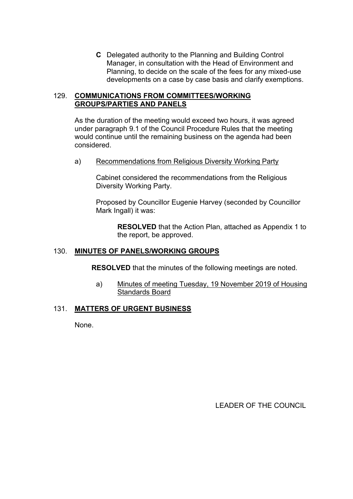**C** Delegated authority to the Planning and Building Control Manager, in consultation with the Head of Environment and Planning, to decide on the scale of the fees for any mixed-use developments on a case by case basis and clarify exemptions.

#### 129. **COMMUNICATIONS FROM COMMITTEES/WORKING GROUPS/PARTIES AND PANELS**

As the duration of the meeting would exceed two hours, it was agreed under paragraph 9.1 of the Council Procedure Rules that the meeting would continue until the remaining business on the agenda had been considered.

a) Recommendations from Religious Diversity Working Party

Cabinet considered the recommendations from the Religious Diversity Working Party.

Proposed by Councillor Eugenie Harvey (seconded by Councillor Mark Ingall) it was:

**RESOLVED** that the Action Plan, attached as Appendix 1 to the report, be approved.

## 130. **MINUTES OF PANELS/WORKING GROUPS**

**RESOLVED** that the minutes of the following meetings are noted.

a) Minutes of meeting Tuesday, 19 November 2019 of Housing Standards Board

#### 131. **MATTERS OF URGENT BUSINESS**

None.

LEADER OF THE COUNCIL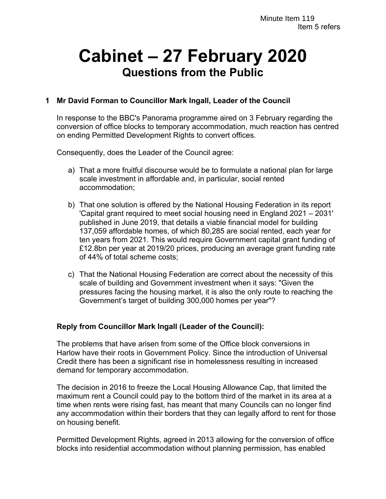# **Cabinet – 27 February 2020 Questions from the Public**

## **1 Mr David Forman to Councillor Mark Ingall, Leader of the Council**

In response to the BBC's Panorama programme aired on 3 February regarding the conversion of office blocks to temporary accommodation, much reaction has centred on ending Permitted Development Rights to convert offices.

Consequently, does the Leader of the Council agree:

- a) That a more fruitful discourse would be to formulate a national plan for large scale investment in affordable and, in particular, social rented accommodation;
- b) That one solution is offered by the National Housing Federation in its report 'Capital grant required to meet social housing need in England 2021 – 2031' published in June 2019, that details a viable financial model for building 137,059 affordable homes, of which 80,285 are social rented, each year for ten years from 2021. This would require Government capital grant funding of £12.8bn per year at 2019/20 prices, producing an average grant funding rate of 44% of total scheme costs;
- c) That the National Housing Federation are correct about the necessity of this scale of building and Government investment when it says: "Given the pressures facing the housing market, it is also the only route to reaching the Government's target of building 300,000 homes per year"?

#### **Reply from Councillor Mark Ingall (Leader of the Council):**

The problems that have arisen from some of the Office block conversions in Harlow have their roots in Government Policy. Since the introduction of Universal Credit there has been a significant rise in homelessness resulting in increased demand for temporary accommodation.

The decision in 2016 to freeze the Local Housing Allowance Cap, that limited the maximum rent a Council could pay to the bottom third of the market in its area at a time when rents were rising fast, has meant that many Councils can no longer find any accommodation within their borders that they can legally afford to rent for those on housing benefit.

Permitted Development Rights, agreed in 2013 allowing for the conversion of office blocks into residential accommodation without planning permission, has enabled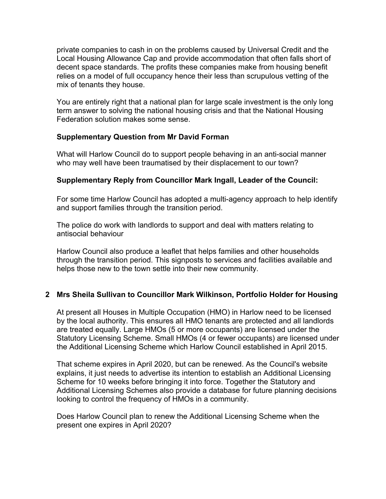private companies to cash in on the problems caused by Universal Credit and the Local Housing Allowance Cap and provide accommodation that often falls short of decent space standards. The profits these companies make from housing benefit relies on a model of full occupancy hence their less than scrupulous vetting of the mix of tenants they house.

You are entirely right that a national plan for large scale investment is the only long term answer to solving the national housing crisis and that the National Housing Federation solution makes some sense.

## **Supplementary Question from Mr David Forman**

What will Harlow Council do to support people behaving in an anti-social manner who may well have been traumatised by their displacement to our town?

## **Supplementary Reply from Councillor Mark Ingall, Leader of the Council:**

For some time Harlow Council has adopted a multi-agency approach to help identify and support families through the transition period.

The police do work with landlords to support and deal with matters relating to antisocial behaviour

Harlow Council also produce a leaflet that helps families and other households through the transition period. This signposts to services and facilities available and helps those new to the town settle into their new community.

#### **2 Mrs Sheila Sullivan to Councillor Mark Wilkinson, Portfolio Holder for Housing**

At present all Houses in Multiple Occupation (HMO) in Harlow need to be licensed by the local authority. This ensures all HMO tenants are protected and all landlords are treated equally. Large HMOs (5 or more occupants) are licensed under the Statutory Licensing Scheme. Small HMOs (4 or fewer occupants) are licensed under the Additional Licensing Scheme which Harlow Council established in April 2015.

That scheme expires in April 2020, but can be renewed. As the Council's website explains, it just needs to advertise its intention to establish an Additional Licensing Scheme for 10 weeks before bringing it into force. Together the Statutory and Additional Licensing Schemes also provide a database for future planning decisions looking to control the frequency of HMOs in a community.

Does Harlow Council plan to renew the Additional Licensing Scheme when the present one expires in April 2020?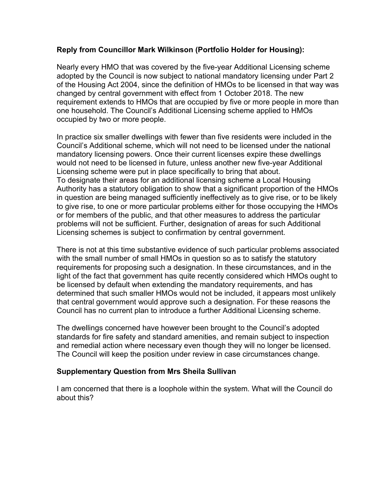#### **Reply from Councillor Mark Wilkinson (Portfolio Holder for Housing):**

Nearly every HMO that was covered by the five-year Additional Licensing scheme adopted by the Council is now subject to national mandatory licensing under Part 2 of the Housing Act 2004, since the definition of HMOs to be licensed in that way was changed by central government with effect from 1 October 2018. The new requirement extends to HMOs that are occupied by five or more people in more than one household. The Council's Additional Licensing scheme applied to HMOs occupied by two or more people.

In practice six smaller dwellings with fewer than five residents were included in the Council's Additional scheme, which will not need to be licensed under the national mandatory licensing powers. Once their current licenses expire these dwellings would not need to be licensed in future, unless another new five-year Additional Licensing scheme were put in place specifically to bring that about. To designate their areas for an additional licensing scheme a Local Housing Authority has a statutory obligation to show that a significant proportion of the HMOs in question are being managed sufficiently ineffectively as to give rise, or to be likely to give rise, to one or more particular problems either for those occupying the HMOs or for members of the public, and that other measures to address the particular problems will not be sufficient. Further, designation of areas for such Additional Licensing schemes is subject to confirmation by central government.

There is not at this time substantive evidence of such particular problems associated with the small number of small HMOs in question so as to satisfy the statutory requirements for proposing such a designation. In these circumstances, and in the light of the fact that government has quite recently considered which HMOs ought to be licensed by default when extending the mandatory requirements, and has determined that such smaller HMOs would not be included, it appears most unlikely that central government would approve such a designation. For these reasons the Council has no current plan to introduce a further Additional Licensing scheme.

The dwellings concerned have however been brought to the Council's adopted standards for fire safety and standard amenities, and remain subject to inspection and remedial action where necessary even though they will no longer be licensed. The Council will keep the position under review in case circumstances change.

#### **Supplementary Question from Mrs Sheila Sullivan**

I am concerned that there is a loophole within the system. What will the Council do about this?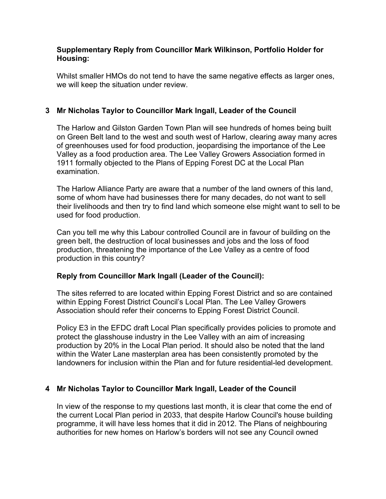#### **Supplementary Reply from Councillor Mark Wilkinson, Portfolio Holder for Housing:**

Whilst smaller HMOs do not tend to have the same negative effects as larger ones, we will keep the situation under review.

## **3 Mr Nicholas Taylor to Councillor Mark Ingall, Leader of the Council**

The Harlow and Gilston Garden Town Plan will see hundreds of homes being built on Green Belt land to the west and south west of Harlow, clearing away many acres of greenhouses used for food production, jeopardising the importance of the Lee Valley as a food production area. The Lee Valley Growers Association formed in 1911 formally objected to the Plans of Epping Forest DC at the Local Plan examination.

The Harlow Alliance Party are aware that a number of the land owners of this land, some of whom have had businesses there for many decades, do not want to sell their livelihoods and then try to find land which someone else might want to sell to be used for food production.

Can you tell me why this Labour controlled Council are in favour of building on the green belt, the destruction of local businesses and jobs and the loss of food production, threatening the importance of the Lee Valley as a centre of food production in this country?

## **Reply from Councillor Mark Ingall (Leader of the Council):**

The sites referred to are located within Epping Forest District and so are contained within Epping Forest District Council's Local Plan. The Lee Valley Growers Association should refer their concerns to Epping Forest District Council.

Policy E3 in the EFDC draft Local Plan specifically provides policies to promote and protect the glasshouse industry in the Lee Valley with an aim of increasing production by 20% in the Local Plan period. It should also be noted that the land within the Water Lane masterplan area has been consistently promoted by the landowners for inclusion within the Plan and for future residential-led development.

## **4 Mr Nicholas Taylor to Councillor Mark Ingall, Leader of the Council**

In view of the response to my questions last month, it is clear that come the end of the current Local Plan period in 2033, that despite Harlow Council's house building programme, it will have less homes that it did in 2012. The Plans of neighbouring authorities for new homes on Harlow's borders will not see any Council owned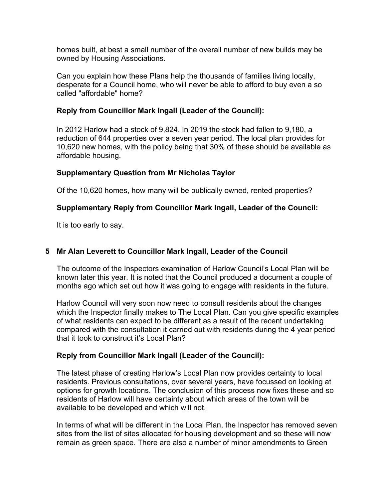homes built, at best a small number of the overall number of new builds may be owned by Housing Associations.

Can you explain how these Plans help the thousands of families living locally, desperate for a Council home, who will never be able to afford to buy even a so called "affordable" home?

## **Reply from Councillor Mark Ingall (Leader of the Council):**

In 2012 Harlow had a stock of 9,824. In 2019 the stock had fallen to 9,180, a reduction of 644 properties over a seven year period. The local plan provides for 10,620 new homes, with the policy being that 30% of these should be available as affordable housing.

## **Supplementary Question from Mr Nicholas Taylor**

Of the 10,620 homes, how many will be publically owned, rented properties?

## **Supplementary Reply from Councillor Mark Ingall, Leader of the Council:**

It is too early to say.

## **5 Mr Alan Leverett to Councillor Mark Ingall, Leader of the Council**

The outcome of the Inspectors examination of Harlow Council's Local Plan will be known later this year. It is noted that the Council produced a document a couple of months ago which set out how it was going to engage with residents in the future.

Harlow Council will very soon now need to consult residents about the changes which the Inspector finally makes to The Local Plan. Can you give specific examples of what residents can expect to be different as a result of the recent undertaking compared with the consultation it carried out with residents during the 4 year period that it took to construct it's Local Plan?

#### **Reply from Councillor Mark Ingall (Leader of the Council):**

The latest phase of creating Harlow's Local Plan now provides certainty to local residents. Previous consultations, over several years, have focussed on looking at options for growth locations. The conclusion of this process now fixes these and so residents of Harlow will have certainty about which areas of the town will be available to be developed and which will not.

In terms of what will be different in the Local Plan, the Inspector has removed seven sites from the list of sites allocated for housing development and so these will now remain as green space. There are also a number of minor amendments to Green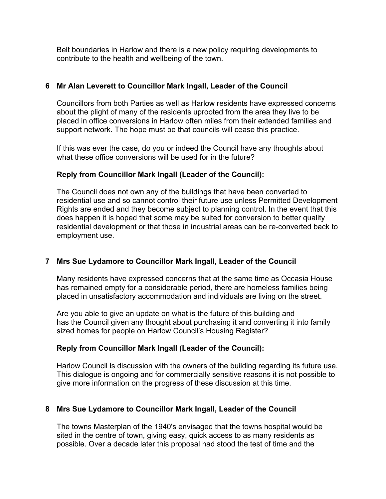Belt boundaries in Harlow and there is a new policy requiring developments to contribute to the health and wellbeing of the town.

## **6 Mr Alan Leverett to Councillor Mark Ingall, Leader of the Council**

Councillors from both Parties as well as Harlow residents have expressed concerns about the plight of many of the residents uprooted from the area they live to be placed in office conversions in Harlow often miles from their extended families and support network. The hope must be that councils will cease this practice.

If this was ever the case, do you or indeed the Council have any thoughts about what these office conversions will be used for in the future?

## **Reply from Councillor Mark Ingall (Leader of the Council):**

The Council does not own any of the buildings that have been converted to residential use and so cannot control their future use unless Permitted Development Rights are ended and they become subject to planning control. In the event that this does happen it is hoped that some may be suited for conversion to better quality residential development or that those in industrial areas can be re-converted back to employment use.

## **7 Mrs Sue Lydamore to Councillor Mark Ingall, Leader of the Council**

Many residents have expressed concerns that at the same time as Occasia House has remained empty for a considerable period, there are homeless families being placed in unsatisfactory accommodation and individuals are living on the street.

Are you able to give an update on what is the future of this building and has the Council given any thought about purchasing it and converting it into family sized homes for people on Harlow Council's Housing Register?

#### **Reply from Councillor Mark Ingall (Leader of the Council):**

Harlow Council is discussion with the owners of the building regarding its future use. This dialogue is ongoing and for commercially sensitive reasons it is not possible to give more information on the progress of these discussion at this time.

## **8 Mrs Sue Lydamore to Councillor Mark Ingall, Leader of the Council**

The towns Masterplan of the 1940's envisaged that the towns hospital would be sited in the centre of town, giving easy, quick access to as many residents as possible. Over a decade later this proposal had stood the test of time and the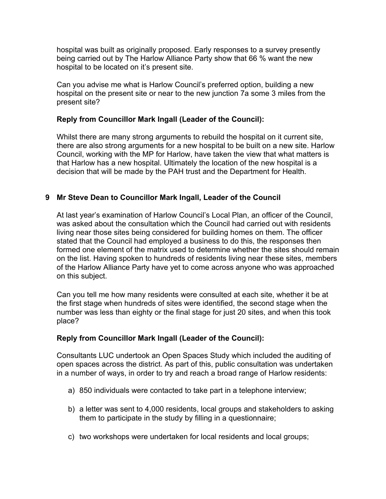hospital was built as originally proposed. Early responses to a survey presently being carried out by The Harlow Alliance Party show that 66 % want the new hospital to be located on it's present site.

Can you advise me what is Harlow Council's preferred option, building a new hospital on the present site or near to the new junction 7a some 3 miles from the present site?

## **Reply from Councillor Mark Ingall (Leader of the Council):**

Whilst there are many strong arguments to rebuild the hospital on it current site, there are also strong arguments for a new hospital to be built on a new site. Harlow Council, working with the MP for Harlow, have taken the view that what matters is that Harlow has a new hospital. Ultimately the location of the new hospital is a decision that will be made by the PAH trust and the Department for Health.

## **9 Mr Steve Dean to Councillor Mark Ingall, Leader of the Council**

At last year's examination of Harlow Council's Local Plan, an officer of the Council, was asked about the consultation which the Council had carried out with residents living near those sites being considered for building homes on them. The officer stated that the Council had employed a business to do this, the responses then formed one element of the matrix used to determine whether the sites should remain on the list. Having spoken to hundreds of residents living near these sites, members of the Harlow Alliance Party have yet to come across anyone who was approached on this subject.

Can you tell me how many residents were consulted at each site, whether it be at the first stage when hundreds of sites were identified, the second stage when the number was less than eighty or the final stage for just 20 sites, and when this took place?

#### **Reply from Councillor Mark Ingall (Leader of the Council):**

Consultants LUC undertook an Open Spaces Study which included the auditing of open spaces across the district. As part of this, public consultation was undertaken in a number of ways, in order to try and reach a broad range of Harlow residents:

- a) 850 individuals were contacted to take part in a telephone interview;
- b) a letter was sent to 4,000 residents, local groups and stakeholders to asking them to participate in the study by filling in a questionnaire;
- c) two workshops were undertaken for local residents and local groups;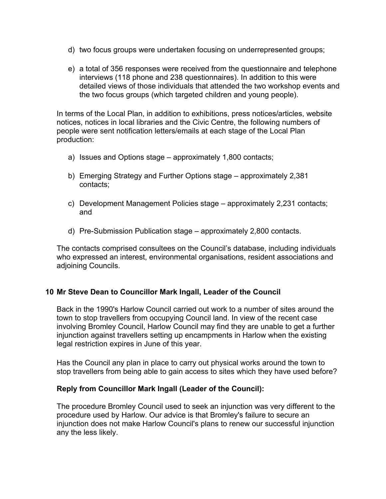- d) two focus groups were undertaken focusing on underrepresented groups;
- e) a total of 356 responses were received from the questionnaire and telephone interviews (118 phone and 238 questionnaires). In addition to this were detailed views of those individuals that attended the two workshop events and the two focus groups (which targeted children and young people).

In terms of the Local Plan, in addition to exhibitions, press notices/articles, website notices, notices in local libraries and the Civic Centre, the following numbers of people were sent notification letters/emails at each stage of the Local Plan production:

- a) Issues and Options stage approximately 1,800 contacts;
- b) Emerging Strategy and Further Options stage approximately 2,381 contacts;
- c) Development Management Policies stage approximately 2,231 contacts; and
- d) Pre-Submission Publication stage approximately 2,800 contacts.

The contacts comprised consultees on the Council's database, including individuals who expressed an interest, environmental organisations, resident associations and adjoining Councils.

#### **10 Mr Steve Dean to Councillor Mark Ingall, Leader of the Council**

Back in the 1990's Harlow Council carried out work to a number of sites around the town to stop travellers from occupying Council land. In view of the recent case involving Bromley Council, Harlow Council may find they are unable to get a further injunction against travellers setting up encampments in Harlow when the existing legal restriction expires in June of this year.

Has the Council any plan in place to carry out physical works around the town to stop travellers from being able to gain access to sites which they have used before?

#### **Reply from Councillor Mark Ingall (Leader of the Council):**

The procedure Bromley Council used to seek an injunction was very different to the procedure used by Harlow. Our advice is that Bromley's failure to secure an injunction does not make Harlow Council's plans to renew our successful injunction any the less likely.